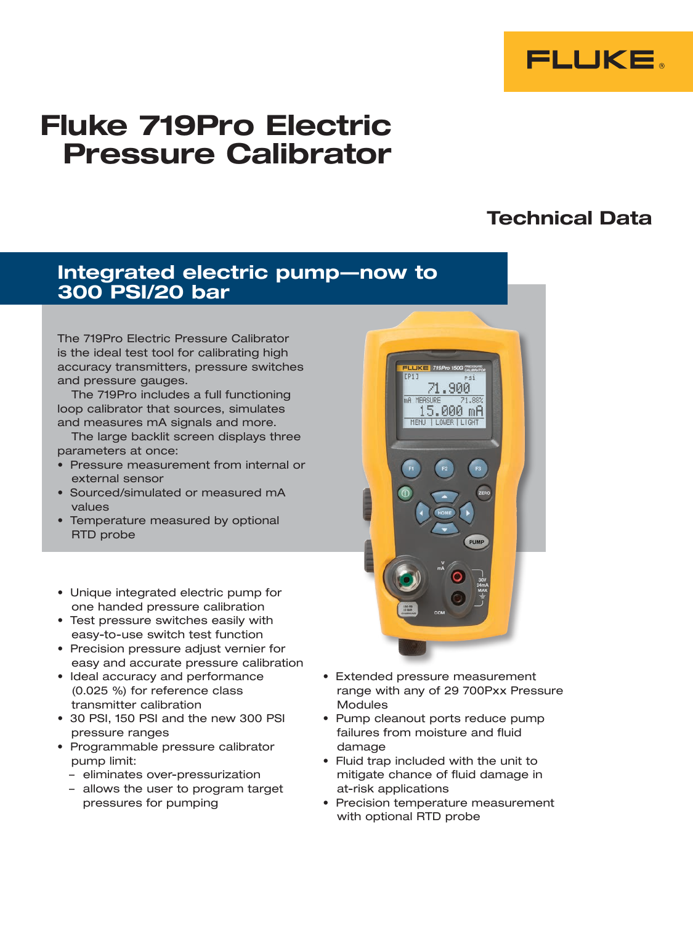

# Fluke 719Pro Electric Pressure Calibrator

# Technical Data

# Integrated electric pump—now to 300 PSI/20 bar

The 719Pro Electric Pressure Calibrator is the ideal test tool for calibrating high accuracy transmitters, pressure switches and pressure gauges.

The 719Pro includes a full functioning loop calibrator that sources, simulates and measures mA signals and more.

The large backlit screen displays three parameters at once:

- Pressure measurement from internal or external sensor
- Sourced/simulated or measured mA values
- Temperature measured by optional RTD probe
- • Unique integrated electric pump for one handed pressure calibration
- Test pressure switches easily with easy-to-use switch test function
- • Precision pressure adjust vernier for easy and accurate pressure calibration
- Ideal accuracy and performance (0.025 %) for reference class transmitter calibration
- 30 PSI, 150 PSI and the new 300 PSI pressure ranges
- • Programmable pressure calibrator pump limit:
	- eliminates over-pressurization
	- allows the user to program target pressures for pumping



- • Extended pressure measurement range with any of 29 700Pxx Pressure Modules
- Pump cleanout ports reduce pump failures from moisture and fluid damage
- • Fluid trap included with the unit to mitigate chance of fluid damage in at-risk applications
- Precision temperature measurement with optional RTD probe